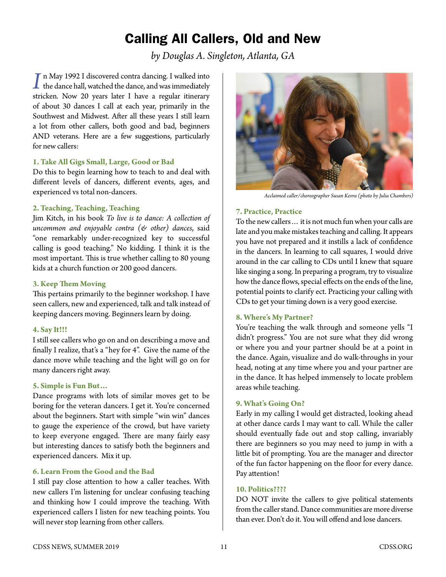# Calling All Callers, Old and New

*by Douglas A. Singleton, Atlanta, GA*

*I* n May 1992 I discovered contra dancing. I walked into the dance hall, watched the dance, and was immediately strictless. Now 20 years later I have a regular itingnary stricken. Now 20 years later I have a regular itinerary of about 30 dances I call at each year, primarily in the Southwest and Midwest. After all these years I still learn a lot from other callers, both good and bad, beginners AND veterans. Here are a few suggestions, particularly for new callers:

## **1. Take All Gigs Small, Large, Good or Bad**

Do this to begin learning how to teach to and deal with different levels of dancers, different events, ages, and experienced vs total non-dancers.

# **2. Teaching, Teaching, Teaching**

Jim Kitch, in his book *To live is to dance: A collection of uncommon and enjoyable contra (& other) dances*, said "one remarkably under-recognized key to successful calling is good teaching." No kidding. I think it is the most important. This is true whether calling to 80 young kids at a church function or 200 good dancers.

## **3. Keep Them Moving**

This pertains primarily to the beginner workshop. I have seen callers, new and experienced, talk and talk instead of keeping dancers moving. Beginners learn by doing.

#### **4. Say It!!!**

I still see callers who go on and on describing a move and finally I realize, that's a "hey for 4". Give the name of the dance move while teaching and the light will go on for many dancers right away.

#### **5. Simple is Fun But…**

Dance programs with lots of similar moves get to be boring for the veteran dancers. I get it. You're concerned about the beginners. Start with simple "win win" dances to gauge the experience of the crowd, but have variety to keep everyone engaged. There are many fairly easy but interesting dances to satisfy both the beginners and experienced dancers. Mix it up.

# **6. Learn From the Good and the Bad**

I still pay close attention to how a caller teaches. With new callers I'm listening for unclear confusing teaching and thinking how I could improve the teaching. With experienced callers I listen for new teaching points. You will never stop learning from other callers.



*Acclaimed caller/choreographer Susan Kevra (photo by Julia Chambers)*

## **7. Practice, Practice**

To the new callers… it is not much fun when your calls are late and you make mistakes teaching and calling. It appears you have not prepared and it instills a lack of confidence in the dancers. In learning to call squares, I would drive around in the car calling to CDs until I knew that square like singing a song. In preparing a program, try to visualize how the dance flows, special effects on the ends of the line, potential points to clarify ect. Practicing your calling with CDs to get your timing down is a very good exercise.

#### **8. Where's My Partner?**

You're teaching the walk through and someone yells "I didn't progress." You are not sure what they did wrong or where you and your partner should be at a point in the dance. Again, visualize and do walk-throughs in your head, noting at any time where you and your partner are in the dance. It has helped immensely to locate problem areas while teaching.

#### **9. What's Going On?**

Early in my calling I would get distracted, looking ahead at other dance cards I may want to call. While the caller should eventually fade out and stop calling, invariably there are beginners so you may need to jump in with a little bit of prompting. You are the manager and director of the fun factor happening on the floor for every dance. Pay attention!

## **10. Politics????**

DO NOT invite the callers to give political statements from the caller stand. Dance communities are more diverse than ever. Don't do it. You will offend and lose dancers.